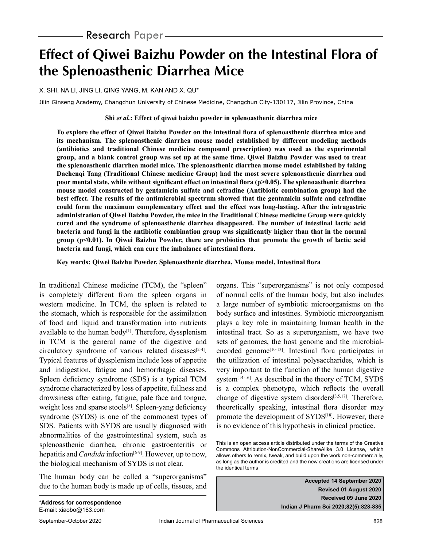# **Effect of Qiwei Baizhu Powder on the Intestinal Flora of the Splenoasthenic Diarrhea Mice**

X. SHI, NA LI, JING LI, QING YANG, M. KAN AND X. QU\*

Jilin Ginseng Academy, Changchun University of Chinese Medicine, Changchun City-130117, Jilin Province, China

#### **Shi** *et al.***: Effect of qiwei baizhu powder in splenoasthenic diarrhea mice**

**To explore the effect of Qiwei Baizhu Powder on the intestinal flora of splenoasthenic diarrhea mice and its mechanism. The splenoasthenic diarrhea mouse model established by different modeling methods (antibiotics and traditional Chinese medicine compound prescription) was used as the experimental group, and a blank control group was set up at the same time. Qiwei Baizhu Powder was used to treat the splenoasthenic diarrhea model mice. The splenoasthenic diarrhea mouse model established by taking Dachenqi Tang (Traditional Chinese medicine Group) had the most severe splenoasthenic diarrhea and poor mental state, while without significant effect on intestinal flora (p>0.05). The splenoasthenic diarrhea mouse model constructed by gentamicin sulfate and cefradine (Antibiotic combination group) had the best effect. The results of the antimicrobial spectrum showed that the gentamicin sulfate and cefradine could form the maximum complementary effect and the effect was long-lasting. After the intragastric administration of Qiwei Baizhu Powder, the mice in the Traditional Chinese medicine Group were quickly cured and the syndrome of splenoasthenic diarrhea disappeared. The number of intestinal lactic acid bacteria and fungi in the antibiotic combination group was significantly higher than that in the normal group (p<0.01). In Qiwei Baizhu Powder, there are probiotics that promote the growth of lactic acid bacteria and fungi, which can cure the imbalance of intestinal flora.**

**Key words: Qiwei Baizhu Powder, Splenoasthenic diarrhea, Mouse model, Intestinal flora**

In traditional Chinese medicine (TCM), the "spleen" is completely different from the spleen organs in western medicine. In TCM, the spleen is related to the stomach, which is responsible for the assimilation of food and liquid and transformation into nutrients available to the human body $[1]$ . Therefore, dyssplenism in TCM is the general name of the digestive and circulatory syndrome of various related diseases<sup>[2-4]</sup>. Typical features of dyssplenism include loss of appetite and indigestion, fatigue and hemorrhagic diseases. Spleen deficiency syndrome (SDS) is a typical TCM syndrome characterized by loss of appetite, fullness and drowsiness after eating, fatigue, pale face and tongue, weight loss and sparse stools<sup>[5]</sup>. Spleen-yang deficiency syndrome (SYDS) is one of the commonest types of SDS. Patients with SYDS are usually diagnosed with abnormalities of the gastrointestinal system, such as splenoasthenic diarrhea, chronic gastroenteritis or hepatitis and *Candida* infection<sup>[6-9]</sup>. However, up to now, the biological mechanism of SYDS is not clear.

The human body can be called a "superorganisms" due to the human body is made up of cells, tissues, and organs. This "superorganisms" is not only composed of normal cells of the human body, but also includes a large number of symbiotic microorganisms on the body surface and intestines. Symbiotic microorganism plays a key role in maintaining human health in the intestinal tract. So as a superorganism, we have two sets of genomes, the host genome and the microbialencoded genome<sup> $[10-13]$ </sup>. Intestinal flora participates in the utilization of intestinal polysaccharides, which is very important to the function of the human digestive system<sup>[14-16]</sup>. As described in the theory of TCM, SYDS is a complex phenotype, which reflects the overall change of digestive system disorders[3,5,17]. Therefore, theoretically speaking, intestinal flora disorder may promote the development of SYDS<sup>[18]</sup>. However, there is no evidence of this hypothesis in clinical practice.

**Accepted 14 September 2020 Revised 01 August 2020 Received 09 June 2020 Indian J Pharm Sci 2020;82(5):828-835**

This is an open access article distributed under the terms of the Creative Commons Attribution-NonCommercial-ShareAlike 3.0 License, which allows others to remix, tweak, and build upon the work non-commercially, as long as the author is credited and the new creations are licensed under the identical terms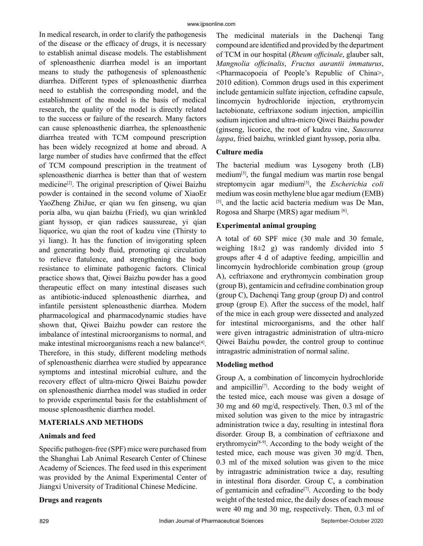In medical research, in order to clarify the pathogenesis of the disease or the efficacy of drugs, it is necessary to establish animal disease models. The establishment of splenoasthenic diarrhea model is an important means to study the pathogenesis of splenoasthenic diarrhea. Different types of splenoasthenic diarrhea need to establish the corresponding model, and the establishment of the model is the basis of medical research, the quality of the model is directly related to the success or failure of the research. Many factors can cause splenoasthenic diarrhea, the splenoasthenic diarrhea treated with TCM compound prescription has been widely recognized at home and abroad. A large number of studies have confirmed that the effect of TCM compound prescription in the treatment of splenoasthenic diarrhea is better than that of western medicine[2]. The original prescription of Qiwei Baizhu powder is contained in the second volume of XiaoEr YaoZheng ZhiJue, er qian wu fen ginseng, wu qian poria alba, wu qian baizhu (Fried), wu qian wrinkled giant hyssop, er qian radices saussureae, yi qian liquorice, wu qian the root of kudzu vine (Thirsty to yi liang). It has the function of invigorating spleen and generating body fluid, promoting qi circulation to relieve flatulence, and strengthening the body resistance to eliminate pathogenic factors. Clinical practice shows that, Qiwei Baizhu powder has a good therapeutic effect on many intestinal diseases such as antibiotic-induced splenoasthenic diarrhea, and infantile persistent splenoasthenic diarrhea. Modern pharmacological and pharmacodynamic studies have shown that, Qiwei Baizhu powder can restore the imbalance of intestinal microorganisms to normal, and make intestinal microorganisms reach a new balance $[4]$ . Therefore, in this study, different modeling methods of splenoasthenic diarrhea were studied by appearance symptoms and intestinal microbial culture, and the recovery effect of ultra-micro Qiwei Baizhu powder on splenoasthenic diarrhea model was studied in order to provide experimental basis for the establishment of mouse splenoasthenic diarrhea model.

## **MATERIALS AND METHODS**

## **Animals and feed**

Specific pathogen-free (SPF) mice were purchased from the Shanghai Lab Animal Research Center of Chinese Academy of Sciences. The feed used in this experiment was provided by the Animal Experimental Center of Jiangxi University of Traditional Chinese Medicine.

#### **Drugs and reagents**

The medicinal materials in the Dachenqi Tang compound are identified and provided by the department of TCM in our hospital (*Rheum officinale*, glauber salt, *Mangnolia officinalis*, *Fructus aurantii immaturus*, <Pharmacopoeia of People's Republic of China>, 2010 edition). Common drugs used in this experiment include gentamicin sulfate injection, cefradine capsule, lincomycin hydrochloride injection, erythromycin lactobionate, ceftriaxone sodium injection, ampicillin sodium injection and ultra-micro Qiwei Baizhu powder (ginseng, licorice, the root of kudzu vine, *Saussurea lappa*, fried baizhu, wrinkled giant hyssop, poria alba.

#### **Culture media**

The bacterial medium was Lysogeny broth (LB) medium[5], the fungal medium was martin rose bengal streptomycin agar medium[5], the *Escherichia coli*  medium was eosin methylene blue agar medium (EMB) [5], and the lactic acid bacteria medium was De Man, Rogosa and Sharpe (MRS) agar medium [6].

## **Experimental animal grouping**

A total of 60 SPF mice (30 male and 30 female, weighing  $18\pm2$  g) was randomly divided into 5 groups after 4 d of adaptive feeding, ampicillin and lincomycin hydrochloride combination group (group A), ceftriaxone and erythromycin combination group (group B), gentamicin and cefradine combination group (group C), Dachenqi Tang group (group D) and control group (group E). After the success of the model, half of the mice in each group were dissected and analyzed for intestinal microorganisms, and the other half were given intragastric administration of ultra-micro Qiwei Baizhu powder, the control group to continue intragastric administration of normal saline.

#### **Modeling method**

Group A, a combination of lincomycin hydrochloride and ampicillin<sup>[7]</sup>. According to the body weight of the tested mice, each mouse was given a dosage of 30 mg and 60 mg/d, respectively. Then, 0.3 ml of the mixed solution was given to the mice by intragastric administration twice a day, resulting in intestinal flora disorder. Group B, a combination of ceftriaxone and erythromycin<sup> $[8-9]$ </sup>. According to the body weight of the tested mice, each mouse was given 30 mg/d. Then, 0.3 ml of the mixed solution was given to the mice by intragastric administration twice a day, resulting in intestinal flora disorder. Group C, a combination of gentamicin and cefradine[7]. According to the body weight of the tested mice, the daily doses of each mouse were 40 mg and 30 mg, respectively. Then, 0.3 ml of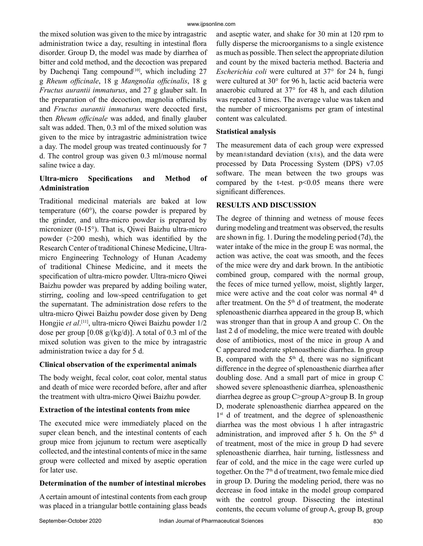the mixed solution was given to the mice by intragastric administration twice a day, resulting in intestinal flora disorder. Group D, the model was made by diarrhea of bitter and cold method, and the decoction was prepared by Dachenqi Tang compound<sup>[10]</sup>, which including 27 g *Rheum officinale*, 18 g *Mangnolia officinalis*, 18 g *Fructus aurantii immaturus*, and 27 g glauber salt. In the preparation of the decoction, magnolia officinalis and *Fructus aurantii immaturus* were decocted first, then *Rheum officinale* was added, and finally glauber salt was added. Then, 0.3 ml of the mixed solution was given to the mice by intragastric administration twice a day. The model group was treated continuously for 7 d. The control group was given 0.3 ml/mouse normal saline twice a day.

## **Ultra-micro Specifications and Method of Administration**

Traditional medicinal materials are baked at low temperature (60°), the coarse powder is prepared by the grinder, and ultra-micro powder is prepared by micronizer (0-15°). That is, Qiwei Baizhu ultra-micro powder (>200 mesh), which was identified by the Research Center of traditional Chinese Medicine, Ultramicro Engineering Technology of Hunan Academy of traditional Chinese Medicine, and it meets the specification of ultra-micro powder. Ultra-micro Qiwei Baizhu powder was prepared by adding boiling water, stirring, cooling and low-speed centrifugation to get the supernatant. The administration dose refers to the ultra-micro Qiwei Baizhu powder dose given by Deng Hongjie *et al*. [11], ultra-micro Qiwei Baizhu powder 1/2 dose per group  $[0.08 \text{ g/(kg/d)}]$ . A total of 0.3 ml of the mixed solution was given to the mice by intragastric administration twice a day for 5 d.

## **Clinical observation of the experimental animals**

The body weight, fecal color, coat color, mental status and death of mice were recorded before, after and after the treatment with ultra-micro Qiwei Baizhu powder.

## **Extraction of the intestinal contents from mice**

The executed mice were immediately placed on the super clean bench, and the intestinal contents of each group mice from jejunum to rectum were aseptically collected, and the intestinal contents of mice in the same group were collected and mixed by aseptic operation for later use.

## **Determination of the number of intestinal microbes**

A certain amount of intestinal contents from each group was placed in a triangular bottle containing glass beads and aseptic water, and shake for 30 min at 120 rpm to fully disperse the microorganisms to a single existence as much as possible. Then select the appropriate dilution and count by the mixed bacteria method. Bacteria and *Escherichia coli* were cultured at 37° for 24 h, fungi were cultured at 30° for 96 h, lactic acid bacteria were anaerobic cultured at 37° for 48 h, and each dilution was repeated 3 times. The average value was taken and the number of microorganisms per gram of intestinal content was calculated.

## **Statistical analysis**

The measurement data of each group were expressed by mean $\pm$ standard deviation (x $\pm$ s), and the data were processed by Data Processing System (DPS) v7.05 software. The mean between the two groups was compared by the t-test.  $p<0.05$  means there were significant differences.

## **RESULTS AND DISCUSSION**

The degree of thinning and wetness of mouse feces during modeling and treatment was observed, the results are shown in fig. 1. During the modeling period (7d), the water intake of the mice in the group E was normal, the action was active, the coat was smooth, and the feces of the mice were dry and dark brown. In the antibiotic combined group, compared with the normal group, the feces of mice turned yellow, moist, slightly larger, mice were active and the coat color was normal 4<sup>th</sup> d after treatment. On the  $5<sup>th</sup>$  d of treatment, the moderate splenoasthenic diarrhea appeared in the group B, which was stronger than that in group A and group C. On the last 2 d of modeling, the mice were treated with double dose of antibiotics, most of the mice in group A and C appeared moderate splenoasthenic diarrhea. In group B, compared with the  $5<sup>th</sup>$  d, there was no significant difference in the degree of splenoasthenic diarrhea after doubling dose. And a small part of mice in group C showed severe splenoasthenic diarrhea, splenoasthenic diarrhea degree as group C>group A>group B. In group D, moderate splenoasthenic diarrhea appeared on the 1<sup>st</sup> d of treatment, and the degree of splenoasthenic diarrhea was the most obvious 1 h after intragastric administration, and improved after 5 h. On the  $5<sup>th</sup>$  d of treatment, most of the mice in group D had severe splenoasthenic diarrhea, hair turning, listlessness and fear of cold, and the mice in the cage were curled up together. On the 7<sup>th</sup> d of treatment, two female mice died in group D. During the modeling period, there was no decrease in food intake in the model group compared with the control group. Dissecting the intestinal contents, the cecum volume of group A, group B, group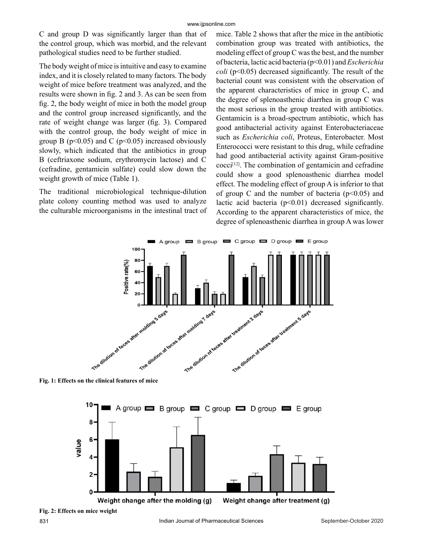C and group D was significantly larger than that of the control group, which was morbid, and the relevant pathological studies need to be further studied.

The body weight of mice is intuitive and easy to examine index, and it is closely related to many factors. The body weight of mice before treatment was analyzed, and the results were shown in fig. 2 and 3. As can be seen from fig. 2, the body weight of mice in both the model group and the control group increased significantly, and the rate of weight change was larger (fig. 3). Compared with the control group, the body weight of mice in group B ( $p<0.05$ ) and C ( $p<0.05$ ) increased obviously slowly, which indicated that the antibiotics in group B (ceftriaxone sodium, erythromycin lactose) and C (cefradine, gentamicin sulfate) could slow down the weight growth of mice (Table 1).

The traditional microbiological technique-dilution plate colony counting method was used to analyze the culturable microorganisms in the intestinal tract of mice. Table 2 shows that after the mice in the antibiotic combination group was treated with antibiotics, the modeling effect of group C was the best, and the number of bacteria, lactic acid bacteria (p<0.01) and *Escherichia coli* (p<0.05) decreased significantly. The result of the bacterial count was consistent with the observation of the apparent characteristics of mice in group C, and the degree of splenoasthenic diarrhea in group C was the most serious in the group treated with antibiotics. Gentamicin is a broad-spectrum antibiotic, which has good antibacterial activity against Enterobacteriaceae such as *Escherichia coli*, Proteus, Enterobacter. Most Enterococci were resistant to this drug, while cefradine had good antibacterial activity against Gram-positive  $\text{cocci}^{[12]}$ . The combination of gentamicin and cefradine could show a good splenoasthenic diarrhea model effect. The modeling effect of group A is inferior to that of group C and the number of bacteria  $(p<0.05)$  and lactic acid bacteria  $(p<0.01)$  decreased significantly. According to the apparent characteristics of mice, the degree of splenoasthenic diarrhea in group A was lower



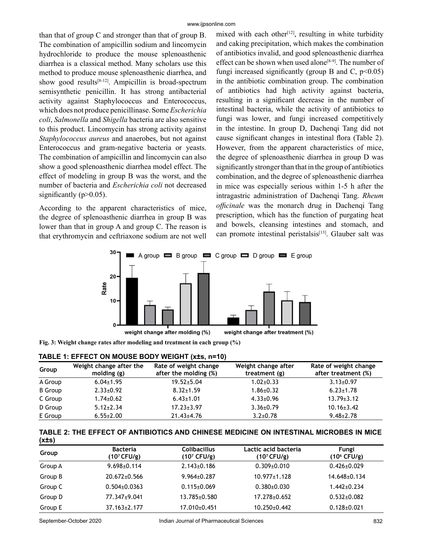than that of group C and stronger than that of group B. The combination of ampicillin sodium and lincomycin hydrochloride to produce the mouse splenoasthenic diarrhea is a classical method. Many scholars use this method to produce mouse splenoasthenic diarrhea, and show good results<sup>[8-12]</sup>. Ampicillin is broad-spectrum semisynthetic penicillin. It has strong antibacterial activity against Staphylococcus and Enterococcus, which does not produce penicillinase. Some *Escherichia coli*, *Salmonella* and *Shigella* bacteria are also sensitive to this product. Lincomycin has strong activity against *Staphylococcus aureus* and anaerobes, but not against Enterococcus and gram-negative bacteria or yeasts. The combination of ampicillin and lincomycin can also show a good splenoasthenic diarrhea model effect. The effect of modeling in group B was the worst, and the number of bacteria and *Escherichia coli* not decreased significantly  $(p>0.05)$ .

According to the apparent characteristics of mice, the degree of splenoasthenic diarrhea in group B was lower than that in group A and group C. The reason is that erythromycin and ceftriaxone sodium are not well mixed with each other<sup>[12]</sup>, resulting in white turbidity and caking precipitation, which makes the combination of antibiotics invalid, and good splenoasthenic diarrhea effect can be shown when used alone<sup>[8-9]</sup>. The number of fungi increased significantly (group B and C,  $p<0.05$ ) in the antibiotic combination group. The combination of antibiotics had high activity against bacteria, resulting in a significant decrease in the number of intestinal bacteria, while the activity of antibiotics to fungi was lower, and fungi increased competitively in the intestine. In group D, Dachenqi Tang did not cause significant changes in intestinal flora (Table 2). However, from the apparent characteristics of mice, the degree of splenoasthenic diarrhea in group D was significantly stronger than that in the group of antibiotics combination, and the degree of splenoasthenic diarrhea in mice was especially serious within 1-5 h after the intragastric administration of Dachenqi Tang. *Rheum officinale* was the monarch drug in Dachengi Tang prescription, which has the function of purgating heat and bowels, cleansing intestines and stomach, and can promote intestinal peristalsis<sup>[13]</sup>. Glauber salt was



**Fig. 3: Weight change rates after modeling and treatment in each group (%)**

| TABLE 1: EFFECT ON MOUSE BODY WEIGHT (x±s, n=10) |                                        |                                                |                                      |                                              |  |
|--------------------------------------------------|----------------------------------------|------------------------------------------------|--------------------------------------|----------------------------------------------|--|
| Group                                            | Weight change after the<br>molding (g) | Rate of weight change<br>after the molding (%) | Weight change after<br>treatment (g) | Rate of weight change<br>after treatment (%) |  |
| A Group                                          | $6.04 \pm 1.95$                        | $19.52 \pm 5.04$                               | $1.02 \pm 0.33$                      | $3.13 \pm 0.97$                              |  |
| <b>B</b> Group                                   | $2.33 \pm 0.92$                        | $8.32 \pm 1.59$                                | $1.86 \pm 0.32$                      | $6.23 \pm 1.78$                              |  |
| C Group                                          | $1.74 \pm 0.62$                        | $6.43 \pm 1.01$                                | $4.33 \pm 0.96$                      | $13.79 \pm 3.12$                             |  |
| D Group                                          | $5.12 \pm 2.34$                        | $17.23 \pm 3.97$                               | $3.36 \pm 0.79$                      | $10.16 \pm 3.42$                             |  |
| E Group                                          | $6.55 \pm 2.00$                        | $21.43 \pm 4.76$                               | $3.2 \pm 0.78$                       | $9.48 \pm 2.78$                              |  |

#### **TABLE 2: THE EFFECT OF ANTIBIOTICS AND CHINESE MEDICINE ON INTESTINAL MICROBES IN MICE (x±s)**

| Group   | <b>Bacteria</b><br>(10 <sup>7</sup> CFU/g) | <b>Colibacillus</b><br>(10 <sup>7</sup> CFU/g) | Lactic acid bacteria<br>$(10^7 CFU/g)$ | Fungi<br>(10 <sup>6</sup> CFU/g) |
|---------|--------------------------------------------|------------------------------------------------|----------------------------------------|----------------------------------|
| Group A | $9.698 \pm 0.114$                          | $2.143 \pm 0.186$                              | $0.309 \pm 0.010$                      | $0.426 \pm 0.029$                |
| Group B | $20.672 \pm 0.566$                         | $9.964 \pm 0.287$                              | $10.977 \pm 1.128$                     | $14.648\pm0.134$                 |
| Group C | $0.504 \pm 0.0363$                         | $0.115 \pm 0.069$                              | $0.380\pm0.030$                        | $1.442 \pm 0.234$                |
| Group D | 77.347±9.041                               | 13.785±0.580                                   | $17.278 \pm 0.652$                     | $0.532 \pm 0.082$                |
| Group E | $37.163 \pm 2.177$                         | 17.010±0.451                                   | $10.250 \pm 0.442$                     | $0.128 \pm 0.021$                |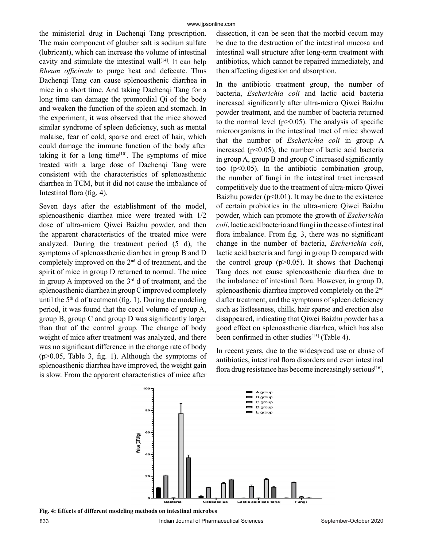the ministerial drug in Dachenqi Tang prescription. The main component of glauber salt is sodium sulfate (lubricant), which can increase the volume of intestinal cavity and stimulate the intestinal wall $[14]$ . It can help *Rheum officinale* to purge heat and defecate. Thus Dachenqi Tang can cause splenoasthenic diarrhea in mice in a short time. And taking Dachenqi Tang for a long time can damage the promordial Qi of the body and weaken the function of the spleen and stomach. In the experiment, it was observed that the mice showed similar syndrome of spleen deficiency, such as mental malaise, fear of cold, sparse and erect of hair, which could damage the immune function of the body after taking it for a long time $[10]$ . The symptoms of mice treated with a large dose of Dachenqi Tang were consistent with the characteristics of splenoasthenic diarrhea in TCM, but it did not cause the imbalance of Intestinal flora (fig. 4).

Seven days after the establishment of the model, splenoasthenic diarrhea mice were treated with 1/2 dose of ultra-micro Qiwei Baizhu powder, and then the apparent characteristics of the treated mice were analyzed. During the treatment period (5 d), the symptoms of splenoasthenic diarrhea in group B and D completely improved on the 2nd d of treatment, and the spirit of mice in group D returned to normal. The mice in group A improved on the  $3<sup>rd</sup>$  d of treatment, and the splenoasthenic diarrhea in group C improved completely until the  $5<sup>th</sup>$  d of treatment (fig. 1). During the modeling period, it was found that the cecal volume of group A, group B, group C and group D was significantly larger than that of the control group. The change of body weight of mice after treatment was analyzed, and there was no significant difference in the change rate of body (p>0.05, Table 3, fig. 1). Although the symptoms of splenoasthenic diarrhea have improved, the weight gain is slow. From the apparent characteristics of mice after

dissection, it can be seen that the morbid cecum may be due to the destruction of the intestinal mucosa and intestinal wall structure after long-term treatment with antibiotics, which cannot be repaired immediately, and then affecting digestion and absorption.

In the antibiotic treatment group, the number of bacteria, *Escherichia coli* and lactic acid bacteria increased significantly after ultra-micro Qiwei Baizhu powder treatment, and the number of bacteria returned to the normal level  $(p>0.05)$ . The analysis of specific microorganisms in the intestinal tract of mice showed that the number of *Escherichia coli* in group A increased ( $p<0.05$ ), the number of lactic acid bacteria in group A, group B and group C increased significantly too (p<0.05). In the antibiotic combination group, the number of fungi in the intestinal tract increased competitively due to the treatment of ultra-micro Qiwei Baizhu powder ( $p<0.01$ ). It may be due to the existence of certain probiotics in the ultra-micro Qiwei Baizhu powder, which can promote the growth of *Escherichia coli*, lactic acid bacteria and fungi in the case of intestinal flora imbalance. From fig. 3, there was no significant change in the number of bacteria, *Escherichia coli*, lactic acid bacteria and fungi in group D compared with the control group  $(p>0.05)$ . It shows that Dachenqi Tang does not cause splenoasthenic diarrhea due to the imbalance of intestinal flora. However, in group D, splenoasthenic diarrhea improved completely on the 2<sup>nd</sup> d after treatment, and the symptoms of spleen deficiency such as listlessness, chills, hair sparse and erection also disappeared, indicating that Qiwei Baizhu powder has a good effect on splenoasthenic diarrhea, which has also been confirmed in other studies<sup>[15]</sup> (Table 4).

In recent years, due to the widespread use or abuse of antibiotics, intestinal flora disorders and even intestinal flora drug resistance has become increasingly serious<sup>[16]</sup>,

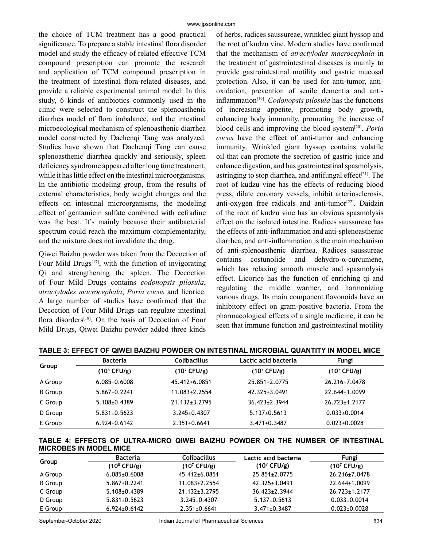the choice of TCM treatment has a good practical significance. To prepare a stable intestinal flora disorder model and study the efficacy of related effective TCM compound prescription can promote the research and application of TCM compound prescription in the treatment of intestinal flora-related diseases, and provide a reliable experimental animal model. In this study, 6 kinds of antibiotics commonly used in the clinic were selected to construct the splenoasthenic diarrhea model of flora imbalance, and the intestinal microecological mechanism of splenoasthenic diarrhea model constructed by Dachenqi Tang was analyzed. Studies have shown that Dachenqi Tang can cause splenoasthenic diarrhea quickly and seriously, spleen deficiency syndrome appeared after long time treatment, while it has little effect on the intestinal microorganisms. In the antibiotic modeling group, from the results of external characteristics, body weight changes and the effects on intestinal microorganisms, the modeling effect of gentamicin sulfate combined with cefradine was the best. It's mainly because their antibacterial spectrum could reach the maximum complementarity, and the mixture does not invalidate the drug.

Qiwei Baizhu powder was taken from the Decoction of Four Mild Drugs $[17]$ , with the function of invigorating Qi and strengthening the spleen. The Decoction of Four Mild Drugs contains *codonopsis pilosula*, *atractylodes macrocephala*, *Poria cocos* and licorice. A large number of studies have confirmed that the Decoction of Four Mild Drugs can regulate intestinal flora disorders<sup>[18]</sup>. On the basis of Decoction of Four Mild Drugs, Qiwei Baizhu powder added three kinds

of herbs, radices saussureae, wrinkled giant hyssop and the root of kudzu vine. Modern studies have confirmed that the mechanism of *atractylodes macrocephala* in the treatment of gastrointestinal diseases is mainly to provide gastrointestinal motility and gastric mucosal protection. Also, it can be used for anti-tumor, antioxidation, prevention of senile dementia and antiinflammation[19]. *Codonopsis pilosula* has the functions of increasing appetite, promoting body growth, enhancing body immunity, promoting the increase of blood cells and improving the blood system[20]. *Poria cocos* have the effect of anti-tumor and enhancing immunity. Wrinkled giant hyssop contains volatile oil that can promote the secretion of gastric juice and enhance digestion, and has gastrointestinal spasmolysis, astringing to stop diarrhea, and antifungal effect<sup>[21]</sup>. The root of kudzu vine has the effects of reducing blood press, dilate coronary vessels, inhibit arteriosclerosis, anti-oxygen free radicals and anti-tumor<sup>[22]</sup>. Daidzin of the root of kudzu vine has an obvious spasmolysis effect on the isolated intestine. Radices saussureae has the effects of anti-inflammation and anti-splenoasthenic diarrhea, and anti-inflammation is the main mechanism of anti-splenoasthenic diarrhea. Radices saussureae contains costunolide and dehydro-α-curcumene, which has relaxing smooth muscle and spasmolysis effect. Licorice has the function of enriching qi and regulating the middle warmer, and harmonizing various drugs. Its main component flavonoids have an inhibitory effect on gram-positive bacteria. From the pharmacological effects of a single medicine, it can be seen that immune function and gastrointestinal motility

| Group          | <b>Bacteria</b>         | <b>Colibacillus</b>     | Lactic acid bacteria    | Fungi                   |
|----------------|-------------------------|-------------------------|-------------------------|-------------------------|
|                | (10 <sup>8</sup> CFU/g) | (10 <sup>7</sup> CFU/g) | (10 <sup>7</sup> CFU/g) | (10 <sup>7</sup> CFU/g) |
| A Group        | $6.085 \pm 0.6008$      | 45.412±6.0851           | 25.851±2.0775           | 26.216±7.0478           |
| <b>B</b> Group | $5.867 \pm 0.2241$      | $11.083 \pm 2.2554$     | 42.325±3.0491           | $22.644 \pm 1.0099$     |
| C Group        | $5.108 \pm 0.4389$      | $21.132 \pm 3.2795$     | $36.423 \pm 2.3944$     | $26.723 \pm 1.2177$     |
| D Group        | $5.831 \pm 0.5623$      | $3.245 \pm 0.4307$      | $5.137 \pm 0.5613$      | $0.033 \pm 0.0014$      |
| E Group        | $6.924 \pm 0.6142$      | $2.351 \pm 0.6641$      | $3.471 \pm 0.3487$      | $0.023 \pm 0.0028$      |

**TABLE 3: EFFECT OF QIWEI BAIZHU POWDER ON INTESTINAL MICROBIAL QUANTITY IN MODEL MICE**

**TABLE 4: EFFECTS OF ULTRA-MICRO QIWEI BAIZHU POWDER ON THE NUMBER OF INTESTINAL MICROBES IN MODEL MICE**

|                | <b>Bacteria</b>         | <b>Colibacillus</b> | Lactic acid bacteria   | Fungi               |
|----------------|-------------------------|---------------------|------------------------|---------------------|
| Group          | (10 <sup>8</sup> CFU/g) | $(10^7 CFU/g)$      | $(10^7 \text{ CFU/g})$ | $(10^7 CFU/g)$      |
| A Group        | $6.085 \pm 0.6008$      | 45.412±6.0851       | $25.851 \pm 2.0775$    | 26.216±7.0478       |
| <b>B</b> Group | $5.867 \pm 0.2241$      | $11.083 \pm 2.2554$ | 42.325 + 3.0491        | 22.644±1.0099       |
| C Group        | $5.108 \pm 0.4389$      | $21.132 \pm 3.2795$ | 36.423+2.3944          | $26.723 \pm 1.2177$ |
| D Group        | $5.831 \pm 0.5623$      | $3.245 \pm 0.4307$  | $5.137 \pm 0.5613$     | $0.033 \pm 0.0014$  |
| E Group        | $6.924 \pm 0.6142$      | $2.351 \pm 0.6641$  | $3.471 \pm 0.3487$     | $0.023 \pm 0.0028$  |